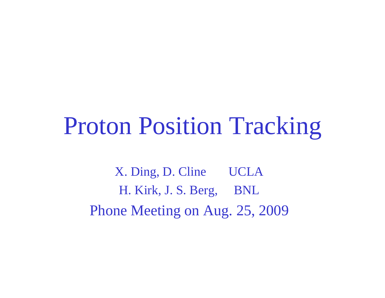### Proton Position Tracking

X. Ding, D. Cline UCLA H. Kirk, J. S. Berg, BNL Phone Meeting on Aug. 25, 2009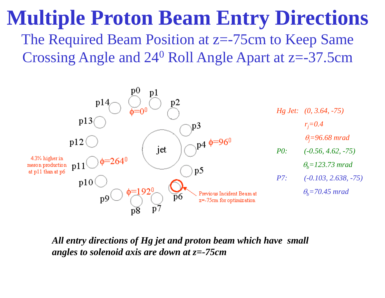#### **Multiple Proton Beam Entry Directions** The Required Beam Position at z=-75cm to Keep Same Crossing Angle and 24<sup>0</sup> Roll Angle Apart at z=-37.5cm



*All entry directions of Hg jet and proton beam which have small an gles to solenoid axis are down at z =-75cm*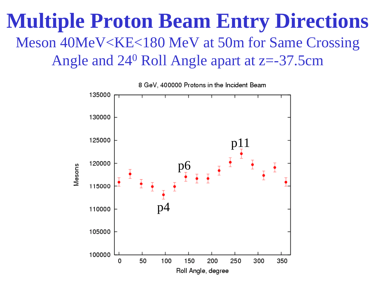#### **Multiple Proton Beam Entry Directions** Meson 40MeV<KE<180 MeV at 50m for Same Crossing Angle and 24 0 Roll Angle apart at z=-37.5cm

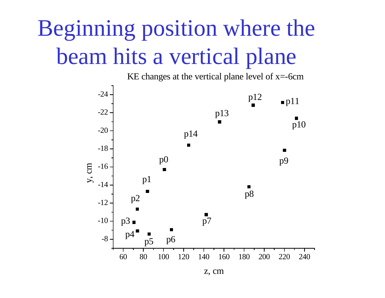## Beginning position where the beam hits a vertical plane



z, cm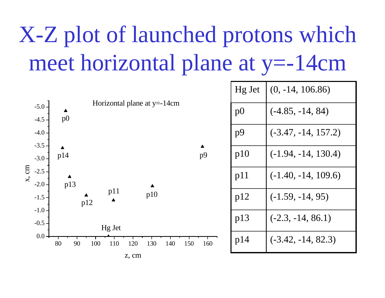# $X-Z$  plot of launched protons which meet horizontal plane at y=-14cm